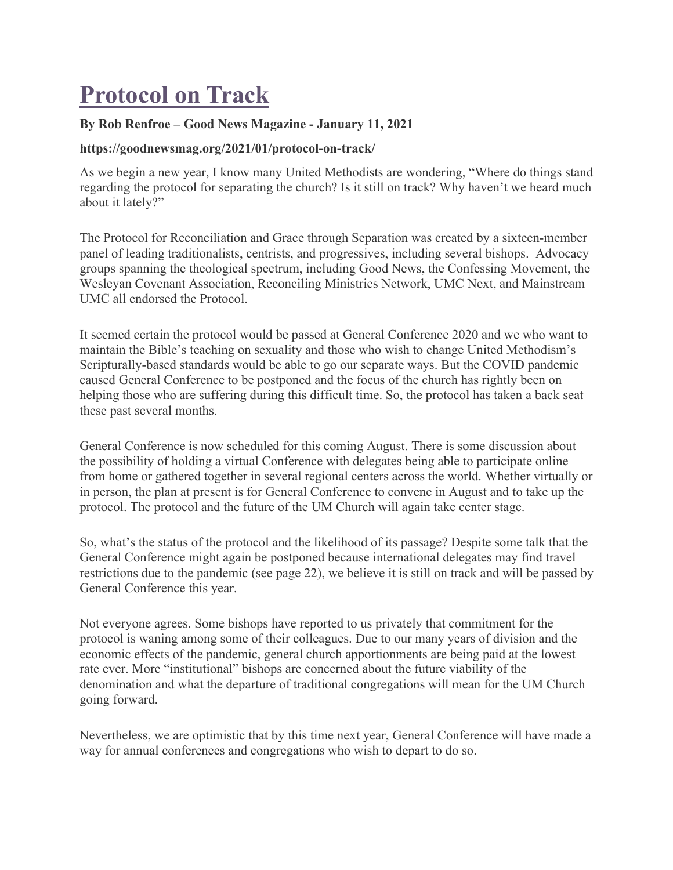## **Protocol on Track**

## **By Rob Renfroe – Good News Magazine - January 11, 2021**

## **https://goodnewsmag.org/2021/01/protocol-on-track/**

As we begin a new year, I know many United Methodists are wondering, "Where do things stand regarding the protocol for separating the church? Is it still on track? Why haven't we heard much about it lately?"

The Protocol for Reconciliation and Grace through Separation was created by a sixteen-member panel of leading traditionalists, centrists, and progressives, including several bishops. Advocacy groups spanning the theological spectrum, including Good News, the Confessing Movement, the Wesleyan Covenant Association, Reconciling Ministries Network, UMC Next, and Mainstream UMC all endorsed the Protocol.

It seemed certain the protocol would be passed at General Conference 2020 and we who want to maintain the Bible's teaching on sexuality and those who wish to change United Methodism's Scripturally-based standards would be able to go our separate ways. But the COVID pandemic caused General Conference to be postponed and the focus of the church has rightly been on helping those who are suffering during this difficult time. So, the protocol has taken a back seat these past several months.

General Conference is now scheduled for this coming August. There is some discussion about the possibility of holding a virtual Conference with delegates being able to participate online from home or gathered together in several regional centers across the world. Whether virtually or in person, the plan at present is for General Conference to convene in August and to take up the protocol. The protocol and the future of the UM Church will again take center stage.

So, what's the status of the protocol and the likelihood of its passage? Despite some talk that the General Conference might again be postponed because international delegates may find travel restrictions due to the pandemic (see page 22), we believe it is still on track and will be passed by General Conference this year.

Not everyone agrees. Some bishops have reported to us privately that commitment for the protocol is waning among some of their colleagues. Due to our many years of division and the economic effects of the pandemic, general church apportionments are being paid at the lowest rate ever. More "institutional" bishops are concerned about the future viability of the denomination and what the departure of traditional congregations will mean for the UM Church going forward.

Nevertheless, we are optimistic that by this time next year, General Conference will have made a way for annual conferences and congregations who wish to depart to do so.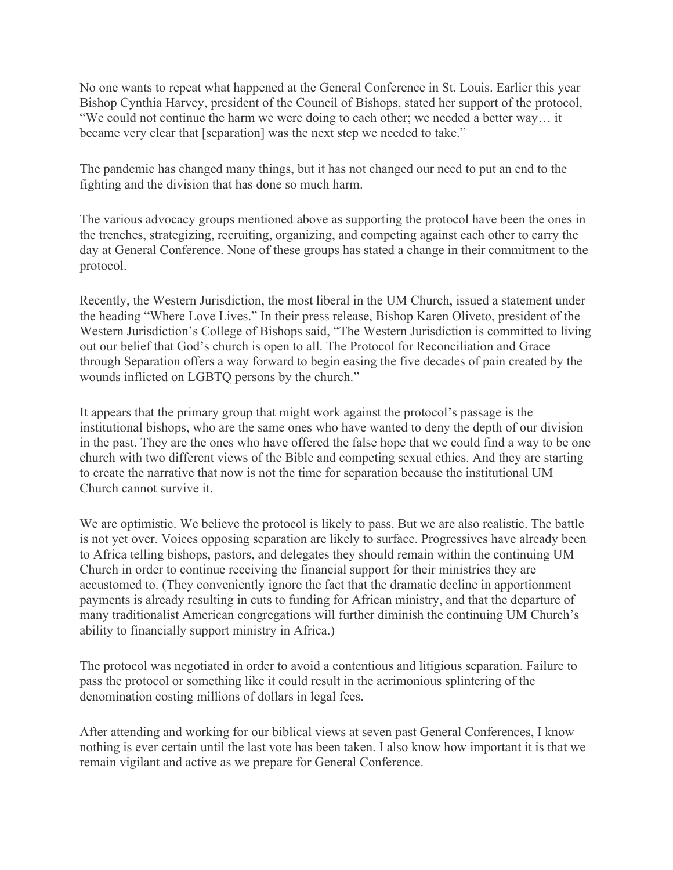No one wants to repeat what happened at the General Conference in St. Louis. Earlier this year Bishop Cynthia Harvey, president of the Council of Bishops, stated her support of the protocol, "We could not continue the harm we were doing to each other; we needed a better way… it became very clear that [separation] was the next step we needed to take."

The pandemic has changed many things, but it has not changed our need to put an end to the fighting and the division that has done so much harm.

The various advocacy groups mentioned above as supporting the protocol have been the ones in the trenches, strategizing, recruiting, organizing, and competing against each other to carry the day at General Conference. None of these groups has stated a change in their commitment to the protocol.

Recently, the Western Jurisdiction, the most liberal in the UM Church, issued a statement under the heading "Where Love Lives." In their press release, Bishop Karen Oliveto, president of the Western Jurisdiction's College of Bishops said, "The Western Jurisdiction is committed to living out our belief that God's church is open to all. The Protocol for Reconciliation and Grace through Separation offers a way forward to begin easing the five decades of pain created by the wounds inflicted on LGBTQ persons by the church."

It appears that the primary group that might work against the protocol's passage is the institutional bishops, who are the same ones who have wanted to deny the depth of our division in the past. They are the ones who have offered the false hope that we could find a way to be one church with two different views of the Bible and competing sexual ethics. And they are starting to create the narrative that now is not the time for separation because the institutional UM Church cannot survive it.

We are optimistic. We believe the protocol is likely to pass. But we are also realistic. The battle is not yet over. Voices opposing separation are likely to surface. Progressives have already been to Africa telling bishops, pastors, and delegates they should remain within the continuing UM Church in order to continue receiving the financial support for their ministries they are accustomed to. (They conveniently ignore the fact that the dramatic decline in apportionment payments is already resulting in cuts to funding for African ministry, and that the departure of many traditionalist American congregations will further diminish the continuing UM Church's ability to financially support ministry in Africa.)

The protocol was negotiated in order to avoid a contentious and litigious separation. Failure to pass the protocol or something like it could result in the acrimonious splintering of the denomination costing millions of dollars in legal fees.

After attending and working for our biblical views at seven past General Conferences, I know nothing is ever certain until the last vote has been taken. I also know how important it is that we remain vigilant and active as we prepare for General Conference.